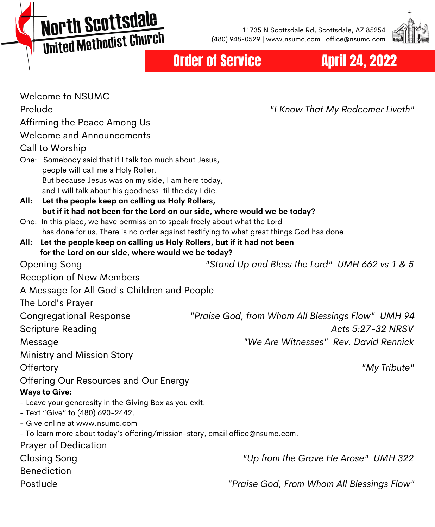**North Scottsdale MOI'LII SCO CESCRIPT** 

11735 N Scottsdale Rd, Scottsdale, AZ 85254 (480) 948-0529 | www.nsumc.com | office@nsumc.com



# Order of Service **April 24, 2022**

| Welcome to NSUMC                                                                                                  |                                                   |
|-------------------------------------------------------------------------------------------------------------------|---------------------------------------------------|
| Prelude                                                                                                           | "I Know That My Redeemer Liveth"                  |
| Affirming the Peace Among Us                                                                                      |                                                   |
| <b>Welcome and Announcements</b>                                                                                  |                                                   |
| Call to Worship                                                                                                   |                                                   |
| One: Somebody said that if I talk too much about Jesus,                                                           |                                                   |
| people will call me a Holy Roller.                                                                                |                                                   |
| But because Jesus was on my side, I am here today,                                                                |                                                   |
| and I will talk about his goodness 'til the day I die.<br>All:<br>Let the people keep on calling us Holy Rollers, |                                                   |
| but if it had not been for the Lord on our side, where would we be today?                                         |                                                   |
| One: In this place, we have permission to speak freely about what the Lord                                        |                                                   |
| has done for us. There is no order against testifying to what great things God has done.                          |                                                   |
| All: Let the people keep on calling us Holy Rollers, but if it had not been                                       |                                                   |
| for the Lord on our side, where would we be today?                                                                |                                                   |
| Opening Song                                                                                                      | "Stand Up and Bless the Lord" UMH 662 vs 1 & 5    |
| <b>Reception of New Members</b>                                                                                   |                                                   |
| A Message for All God's Children and People                                                                       |                                                   |
| The Lord's Prayer                                                                                                 |                                                   |
| <b>Congregational Response</b>                                                                                    | "Praise God, from Whom All Blessings Flow" UMH 94 |
| Scripture Reading                                                                                                 | Acts 5:27-32 NRSV                                 |
| Message                                                                                                           | "We Are Witnesses" Rev. David Rennick             |
| Ministry and Mission Story                                                                                        |                                                   |
| Offertory                                                                                                         | "My Tribute"                                      |
| Offering Our Resources and Our Energy                                                                             |                                                   |
| <b>Ways to Give:</b>                                                                                              |                                                   |
| - Leave your generosity in the Giving Box as you exit.                                                            |                                                   |
| - Text "Give" to (480) 690-2442.                                                                                  |                                                   |
| - Give online at www.nsumc.com                                                                                    |                                                   |
| - To learn more about today's offering/mission-story, email office@nsumc.com.                                     |                                                   |
| <b>Prayer of Dedication</b>                                                                                       |                                                   |
| <b>Closing Song</b>                                                                                               | "Up from the Grave He Arose" UMH 322              |
| <b>Benediction</b>                                                                                                |                                                   |
| Postlude                                                                                                          | "Praise God, From Whom All Blessings Flow"        |
|                                                                                                                   |                                                   |